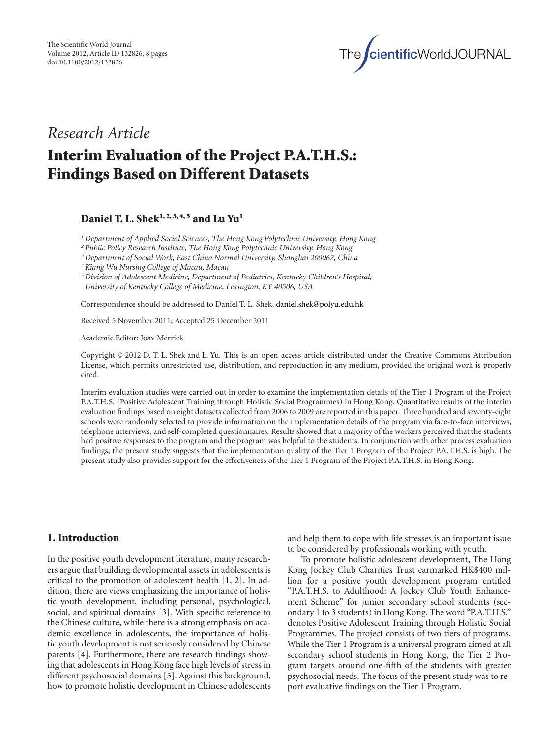

# *Research Article*

# **Interim Evaluation of the Project P.A.T.H.S.: Findings Based on Different Datasets**

**Daniel T. L. Shek1, 2, 3, 4, 5 and Lu Yu1**

*1Department of Applied Social Sciences, The Hong Kong Polytechnic University, Hong Kong*

*2Public Policy Research Institute, The Hong Kong Polytechnic University, Hong Kong*

*3Department of Social Work, East China Normal University, Shanghai 200062, China*

*4Kiang Wu Nursing College of Macau, Macau*

*5Division of Adolescent Medicine, Department of Pediatrics, Kentucky Children's Hospital, University of Kentucky College of Medicine, Lexington, KY 40506, USA*

Correspondence should be addressed to Daniel T. L. Shek, daniel.shek@polyu.edu.hk

Received 5 November 2011; Accepted 25 December 2011

Academic Editor: Joav Merrick

Copyright © 2012 D. T. L. Shek and L. Yu. This is an open access article distributed under the Creative Commons Attribution License, which permits unrestricted use, distribution, and reproduction in any medium, provided the original work is properly cited.

Interim evaluation studies were carried out in order to examine the implementation details of the Tier 1 Program of the Project P.A.T.H.S. (Positive Adolescent Training through Holistic Social Programmes) in Hong Kong. Quantitative results of the interim evaluation findings based on eight datasets collected from 2006 to 2009 are reported in this paper. Three hundred and seventy-eight schools were randomly selected to provide information on the implementation details of the program via face-to-face interviews, telephone interviews, and self-completed questionnaires. Results showed that a majority of the workers perceived that the students had positive responses to the program and the program was helpful to the students. In conjunction with other process evaluation findings, the present study suggests that the implementation quality of the Tier 1 Program of the Project P.A.T.H.S. is high. The present study also provides support for the effectiveness of the Tier 1 Program of the Project P.A.T.H.S. in Hong Kong.

# **1. Introduction**

In the positive youth development literature, many researchers argue that building developmental assets in adolescents is critical to the promotion of adolescent health [1, 2]. In addition, there are views emphasizing the importance of holistic youth development, including personal, psychological, social, and spiritual domains [3]. With specific reference to the Chinese culture, while there is a strong emphasis on academic excellence in adolescents, the importance of holistic youth development is not seriously considered by Chinese parents [4]. Furthermore, there are research findings showing that adolescents in Hong Kong face high levels of stress in different psychosocial domains [5]. Against this background, how to promote holistic development in Chinese adolescents

and help them to cope with life stresses is an important issue to be considered by professionals working with youth.

To promote holistic adolescent development, The Hong Kong Jockey Club Charities Trust earmarked HK\$400 million for a positive youth development program entitled "P.A.T.H.S. to Adulthood: A Jockey Club Youth Enhancement Scheme" for junior secondary school students (secondary 1 to 3 students) in Hong Kong. The word "P.A.T.H.S." denotes Positive Adolescent Training through Holistic Social Programmes. The project consists of two tiers of programs. While the Tier 1 Program is a universal program aimed at all secondary school students in Hong Kong, the Tier 2 Program targets around one-fifth of the students with greater psychosocial needs. The focus of the present study was to report evaluative findings on the Tier 1 Program.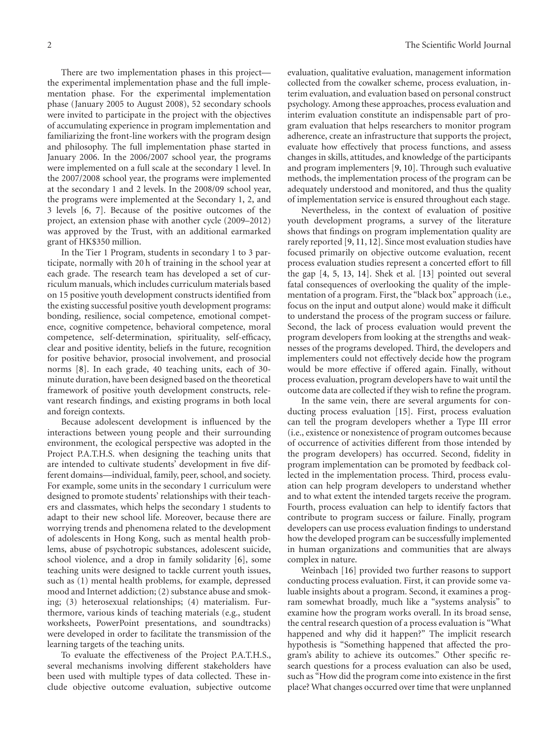There are two implementation phases in this project the experimental implementation phase and the full implementation phase. For the experimental implementation phase (January 2005 to August 2008), 52 secondary schools were invited to participate in the project with the objectives of accumulating experience in program implementation and familiarizing the front-line workers with the program design and philosophy. The full implementation phase started in January 2006. In the 2006/2007 school year, the programs were implemented on a full scale at the secondary 1 level. In the 2007/2008 school year, the programs were implemented at the secondary 1 and 2 levels. In the 2008/09 school year, the programs were implemented at the Secondary 1, 2, and 3 levels [6, 7]. Because of the positive outcomes of the project, an extension phase with another cycle (2009–2012) was approved by the Trust, with an additional earmarked grant of HK\$350 million.

In the Tier 1 Program, students in secondary 1 to 3 participate, normally with 20 h of training in the school year at each grade. The research team has developed a set of curriculum manuals, which includes curriculum materials based on 15 positive youth development constructs identified from the existing successful positive youth development programs: bonding, resilience, social competence, emotional competence, cognitive competence, behavioral competence, moral competence, self-determination, spirituality, self-efficacy, clear and positive identity, beliefs in the future, recognition for positive behavior, prosocial involvement, and prosocial norms [8]. In each grade, 40 teaching units, each of 30 minute duration, have been designed based on the theoretical framework of positive youth development constructs, relevant research findings, and existing programs in both local and foreign contexts.

Because adolescent development is influenced by the interactions between young people and their surrounding environment, the ecological perspective was adopted in the Project P.A.T.H.S. when designing the teaching units that are intended to cultivate students' development in five different domains—individual, family, peer, school, and society. For example, some units in the secondary 1 curriculum were designed to promote students' relationships with their teachers and classmates, which helps the secondary 1 students to adapt to their new school life. Moreover, because there are worrying trends and phenomena related to the development of adolescents in Hong Kong, such as mental health problems, abuse of psychotropic substances, adolescent suicide, school violence, and a drop in family solidarity [6], some teaching units were designed to tackle current youth issues, such as (1) mental health problems, for example, depressed mood and Internet addiction; (2) substance abuse and smoking; (3) heterosexual relationships; (4) materialism. Furthermore, various kinds of teaching materials (e.g., student worksheets, PowerPoint presentations, and soundtracks) were developed in order to facilitate the transmission of the learning targets of the teaching units.

To evaluate the effectiveness of the Project P.A.T.H.S., several mechanisms involving different stakeholders have been used with multiple types of data collected. These include objective outcome evaluation, subjective outcome

evaluation, qualitative evaluation, management information collected from the cowalker scheme, process evaluation, interim evaluation, and evaluation based on personal construct psychology. Among these approaches, process evaluation and interim evaluation constitute an indispensable part of program evaluation that helps researchers to monitor program adherence, create an infrastructure that supports the project, evaluate how effectively that process functions, and assess changes in skills, attitudes, and knowledge of the participants and program implementers [9, 10]. Through such evaluative methods, the implementation process of the program can be adequately understood and monitored, and thus the quality of implementation service is ensured throughout each stage.

Nevertheless, in the context of evaluation of positive youth development programs, a survey of the literature shows that findings on program implementation quality are rarely reported [9, 11, 12]. Since most evaluation studies have focused primarily on objective outcome evaluation, recent process evaluation studies represent a concerted effort to fill the gap [4, 5, 13, 14]. Shek et al. [13] pointed out several fatal consequences of overlooking the quality of the implementation of a program. First, the "black box" approach (i.e., focus on the input and output alone) would make it difficult to understand the process of the program success or failure. Second, the lack of process evaluation would prevent the program developers from looking at the strengths and weaknesses of the programs developed. Third, the developers and implementers could not effectively decide how the program would be more effective if offered again. Finally, without process evaluation, program developers have to wait until the outcome data are collected if they wish to refine the program.

In the same vein, there are several arguments for conducting process evaluation [15]. First, process evaluation can tell the program developers whether a Type III error (i.e., existence or nonexistence of program outcomes because of occurrence of activities different from those intended by the program developers) has occurred. Second, fidelity in program implementation can be promoted by feedback collected in the implementation process. Third, process evaluation can help program developers to understand whether and to what extent the intended targets receive the program. Fourth, process evaluation can help to identify factors that contribute to program success or failure. Finally, program developers can use process evaluation findings to understand how the developed program can be successfully implemented in human organizations and communities that are always complex in nature.

Weinbach [16] provided two further reasons to support conducting process evaluation. First, it can provide some valuable insights about a program. Second, it examines a program somewhat broadly, much like a "systems analysis" to examine how the program works overall. In its broad sense, the central research question of a process evaluation is "What happened and why did it happen?" The implicit research hypothesis is "Something happened that affected the program's ability to achieve its outcomes." Other specific research questions for a process evaluation can also be used, such as "How did the program come into existence in the first place? What changes occurred over time that were unplanned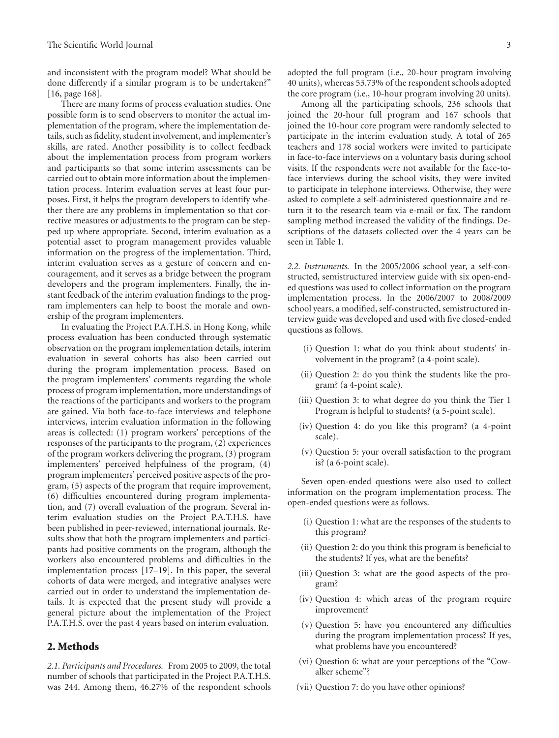and inconsistent with the program model? What should be done differently if a similar program is to be undertaken?" [16, page 168].

There are many forms of process evaluation studies. One possible form is to send observers to monitor the actual implementation of the program, where the implementation details, such as fidelity, student involvement, and implementer's skills, are rated. Another possibility is to collect feedback about the implementation process from program workers and participants so that some interim assessments can be carried out to obtain more information about the implementation process. Interim evaluation serves at least four purposes. First, it helps the program developers to identify whether there are any problems in implementation so that corrective measures or adjustments to the program can be stepped up where appropriate. Second, interim evaluation as a potential asset to program management provides valuable information on the progress of the implementation. Third, interim evaluation serves as a gesture of concern and encouragement, and it serves as a bridge between the program developers and the program implementers. Finally, the instant feedback of the interim evaluation findings to the program implementers can help to boost the morale and ownership of the program implementers.

In evaluating the Project P.A.T.H.S. in Hong Kong, while process evaluation has been conducted through systematic observation on the program implementation details, interim evaluation in several cohorts has also been carried out during the program implementation process. Based on the program implementers' comments regarding the whole process of program implementation, more understandings of the reactions of the participants and workers to the program are gained. Via both face-to-face interviews and telephone interviews, interim evaluation information in the following areas is collected: (1) program workers' perceptions of the responses of the participants to the program, (2) experiences of the program workers delivering the program, (3) program implementers' perceived helpfulness of the program, (4) program implementers' perceived positive aspects of the program, (5) aspects of the program that require improvement, (6) difficulties encountered during program implementation, and (7) overall evaluation of the program. Several interim evaluation studies on the Project P.A.T.H.S. have been published in peer-reviewed, international journals. Results show that both the program implementers and participants had positive comments on the program, although the workers also encountered problems and difficulties in the implementation process [17–19]. In this paper, the several cohorts of data were merged, and integrative analyses were carried out in order to understand the implementation details. It is expected that the present study will provide a general picture about the implementation of the Project P.A.T.H.S. over the past 4 years based on interim evaluation.

## **2. Methods**

*2.1. Participants and Procedures.* From 2005 to 2009, the total number of schools that participated in the Project P.A.T.H.S. was 244. Among them, 46.27% of the respondent schools adopted the full program (i.e., 20-hour program involving 40 units), whereas 53.73% of the respondent schools adopted the core program (i.e., 10-hour program involving 20 units).

Among all the participating schools, 236 schools that joined the 20-hour full program and 167 schools that joined the 10-hour core program were randomly selected to participate in the interim evaluation study. A total of 265 teachers and 178 social workers were invited to participate in face-to-face interviews on a voluntary basis during school visits. If the respondents were not available for the face-toface interviews during the school visits, they were invited to participate in telephone interviews. Otherwise, they were asked to complete a self-administered questionnaire and return it to the research team via e-mail or fax. The random sampling method increased the validity of the findings. Descriptions of the datasets collected over the 4 years can be seen in Table 1.

*2.2. Instruments.* In the 2005/2006 school year, a self-constructed, semistructured interview guide with six open-ended questions was used to collect information on the program implementation process. In the 2006/2007 to 2008/2009 school years, a modified, self-constructed, semistructured interview guide was developed and used with five closed-ended questions as follows.

- (i) Question 1: what do you think about students' involvement in the program? (a 4-point scale).
- (ii) Question 2: do you think the students like the program? (a 4-point scale).
- (iii) Question 3: to what degree do you think the Tier 1 Program is helpful to students? (a 5-point scale).
- (iv) Question 4: do you like this program? (a 4-point scale).
- (v) Question 5: your overall satisfaction to the program is? (a 6-point scale).

Seven open-ended questions were also used to collect information on the program implementation process. The open-ended questions were as follows.

- (i) Question 1: what are the responses of the students to this program?
- (ii) Question 2: do you think this program is beneficial to the students? If yes, what are the benefits?
- (iii) Question 3: what are the good aspects of the program?
- (iv) Question 4: which areas of the program require improvement?
- (v) Question 5: have you encountered any difficulties during the program implementation process? If yes, what problems have you encountered?
- (vi) Question 6: what are your perceptions of the "Cowalker scheme"?
- (vii) Question 7: do you have other opinions?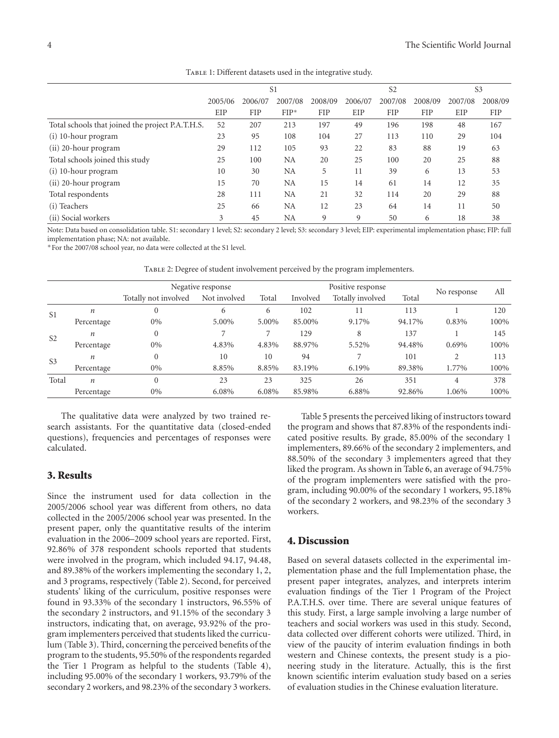|                                                  |         |            | S <sub>1</sub> |            | S <sub>2</sub> |            |            | S <sub>3</sub> |            |
|--------------------------------------------------|---------|------------|----------------|------------|----------------|------------|------------|----------------|------------|
|                                                  | 2005/06 | 2006/07    | 2007/08        | 2008/09    | 2006/07        | 2007/08    | 2008/09    | 2007/08        | 2008/09    |
|                                                  | EIP     | <b>FIP</b> | $FIP^*$        | <b>FIP</b> | EIP            | <b>FIP</b> | <b>FIP</b> | EIP            | <b>FIP</b> |
| Total schools that joined the project P.A.T.H.S. | 52      | 207        | 213            | 197        | 49             | 196        | 198        | 48             | 167        |
| (i) 10-hour program                              | 23      | 95         | 108            | 104        | 27             | 113        | 110        | 29             | 104        |
| (ii) 20-hour program                             | 29      | 112        | 105            | 93         | 22             | 83         | 88         | 19             | 63         |
| Total schools joined this study                  | 25      | 100        | NA             | 20         | 25             | 100        | 20         | 25             | 88         |
| (i) 10-hour program                              | 10      | 30         | <b>NA</b>      | 5          | 11             | 39         | 6          | 13             | 53         |
| (ii) 20-hour program                             | 15      | 70         | NA             | 15         | 14             | 61         | 14         | 12             | 35         |
| Total respondents                                | 28      | 111        | NA             | 21         | 32             | 114        | 20         | 29             | 88         |
| (i) Teachers                                     | 25      | 66         | <b>NA</b>      | 12         | 23             | 64         | 14         | 11             | 50         |
| (ii) Social workers                              | 3       | 45         | <b>NA</b>      | 9          | 9              | 50         | 6          | 18             | 38         |

Note: Data based on consolidation table. S1: secondary 1 level; S2: secondary 2 level; S3: secondary 3 level; EIP: experimental implementation phase; FIP: full implementation phase; NA: not available.

<sup>∗</sup>For the 2007/08 school year, no data were collected at the S1 level.

Table 2: Degree of student involvement perceived by the program implementers.

|                |                  |                      | Negative response |       |          | Positive response |        | All                                                       |      |
|----------------|------------------|----------------------|-------------------|-------|----------|-------------------|--------|-----------------------------------------------------------|------|
|                |                  | Totally not involved | Not involved      | Total | Involved | Totally involved  | Total  |                                                           |      |
| S <sub>1</sub> | $\boldsymbol{n}$ | 0                    | 6                 | 6     | 102      | 11                | 113    |                                                           | 120  |
|                | Percentage       | $0\%$                | 5.00%             | 5.00% | 85.00%   | 9.17%             | 94.17% | No response<br>0.83%<br>0.69%<br>∍<br>1.77%<br>4<br>1.06% | 100% |
| S <sub>2</sub> | $\boldsymbol{n}$ | $\theta$             |                   |       | 129      | 8                 | 137    |                                                           | 145  |
|                | Percentage       | $0\%$                | 4.83%             | 4.83% | 88.97%   | 5.52%             | 94.48% |                                                           | 100% |
| S <sub>3</sub> | $\boldsymbol{n}$ | $\Omega$             | 10                | 10    | 94       |                   | 101    |                                                           | 113  |
|                | Percentage       | $0\%$                | 8.85%             | 8.85% | 83.19%   | 6.19%             | 89.38% |                                                           | 100% |
| Total          | $\boldsymbol{n}$ | $\theta$             | 23                | 23    | 325      | 26                | 351    |                                                           | 378  |
|                | Percentage       | $0\%$                | 6.08%             | 6.08% | 85.98%   | 6.88%             | 92.86% |                                                           | 100% |

The qualitative data were analyzed by two trained research assistants. For the quantitative data (closed-ended questions), frequencies and percentages of responses were calculated.

## **3. Results**

Since the instrument used for data collection in the 2005/2006 school year was different from others, no data collected in the 2005/2006 school year was presented. In the present paper, only the quantitative results of the interim evaluation in the 2006–2009 school years are reported. First, 92.86% of 378 respondent schools reported that students were involved in the program, which included 94.17, 94.48, and 89.38% of the workers implementing the secondary 1, 2, and 3 programs, respectively (Table 2). Second, for perceived students' liking of the curriculum, positive responses were found in 93.33% of the secondary 1 instructors, 96.55% of the secondary 2 instructors, and 91.15% of the secondary 3 instructors, indicating that, on average, 93.92% of the program implementers perceived that students liked the curriculum (Table 3). Third, concerning the perceived benefits of the program to the students, 95.50% of the respondents regarded the Tier 1 Program as helpful to the students (Table 4), including 95.00% of the secondary 1 workers, 93.79% of the secondary 2 workers, and 98.23% of the secondary 3 workers.

Table 5 presents the perceived liking of instructors toward the program and shows that 87.83% of the respondents indicated positive results. By grade, 85.00% of the secondary 1 implementers, 89.66% of the secondary 2 implementers, and 88.50% of the secondary 3 implementers agreed that they liked the program. As shown in Table 6, an average of 94.75% of the program implementers were satisfied with the program, including 90.00% of the secondary 1 workers, 95.18% of the secondary 2 workers, and 98.23% of the secondary 3 workers.

#### **4. Discussion**

Based on several datasets collected in the experimental implementation phase and the full Implementation phase, the present paper integrates, analyzes, and interprets interim evaluation findings of the Tier 1 Program of the Project P.A.T.H.S. over time. There are several unique features of this study. First, a large sample involving a large number of teachers and social workers was used in this study. Second, data collected over different cohorts were utilized. Third, in view of the paucity of interim evaluation findings in both western and Chinese contexts, the present study is a pioneering study in the literature. Actually, this is the first known scientific interim evaluation study based on a series of evaluation studies in the Chinese evaluation literature.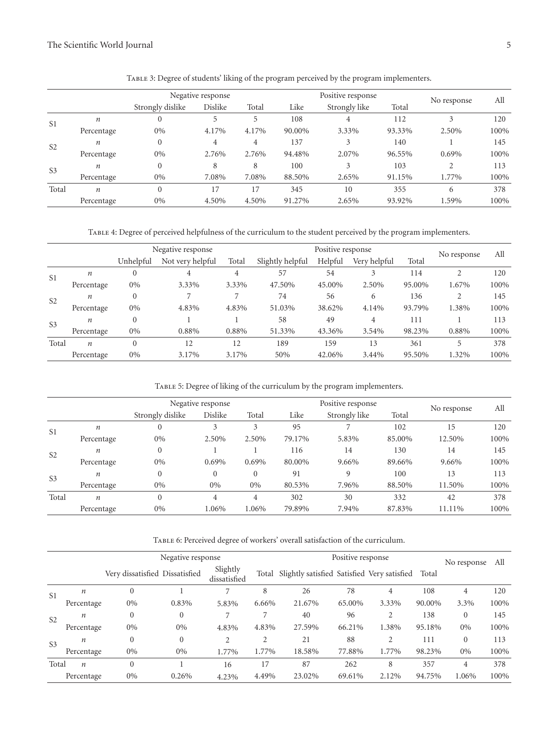|                |                  |                  | Negative response |       |        | Positive response |        | No response<br>3<br>2.50%<br>0.69%<br>2 | All  |
|----------------|------------------|------------------|-------------------|-------|--------|-------------------|--------|-----------------------------------------|------|
|                |                  | Strongly dislike | Dislike           | Total | Like   | Strongly like     | Total  |                                         |      |
| S <sub>1</sub> | п                | $\mathbf{0}$     |                   | 5     | 108    | 4                 | 112    |                                         | 120  |
|                | Percentage       | 0%               | 4.17%             | 4.17% | 90.00% | 3.33%             | 93.33% |                                         | 100% |
| S <sub>2</sub> | $\boldsymbol{n}$ | $\mathbf{0}$     | 4                 | 4     | 137    | 3                 | 140    |                                         | 145  |
|                | Percentage       | 0%               | 2.76%             | 2.76% | 94.48% | 2.07%             | 96.55% |                                         | 100% |
| S <sub>3</sub> | $\boldsymbol{n}$ | $\mathbf{0}$     | 8                 | 8     | 100    | 3                 | 103    |                                         | 113  |
|                | Percentage       | 0%               | 7.08%             | 7.08% | 88.50% | 2.65%             | 91.15% | 1.77%                                   | 100% |
| Total          | $\boldsymbol{n}$ | $\mathbf{0}$     | 17                | 17    | 345    | 10                | 355    | 6                                       | 378  |
|                | Percentage       | 0%               | 4.50%             | 4.50% | 91.27% | 2.65%             | 93.92% | 1.59%                                   | 100% |

TABLE 3: Degree of students' liking of the program perceived by the program implementers.

Table 4: Degree of perceived helpfulness of the curriculum to the student perceived by the program implementers.

|                |                  |           | Negative response |       |                  | Positive response |              |        |             | All  |
|----------------|------------------|-----------|-------------------|-------|------------------|-------------------|--------------|--------|-------------|------|
|                |                  | Unhelpful | Not very helpful  | Total | Slightly helpful | Helpful           | Very helpful | Total  | No response |      |
| S <sub>1</sub> | $\boldsymbol{n}$ | 0         | 4                 | 4     | 57               | 54                |              | 114    |             | 120  |
|                | Percentage       | $0\%$     | 3.33%             | 3.33% | 47.50%           | 45.00%            | 2.50%        | 95.00% | 1.67%       | 100% |
| S <sub>2</sub> | $\boldsymbol{n}$ | 0         |                   |       | 74               | 56                | 6            | 136    | ∠           | 145  |
|                | Percentage       | $0\%$     | 4.83%             | 4.83% | 51.03%           | 38.62%            | 4.14%        | 93.79% | 1.38%       | 100% |
| S <sub>3</sub> | $\boldsymbol{n}$ | 0         |                   |       | 58               | 49                | 4            | 111    |             | 113  |
|                | Percentage       | $0\%$     | 0.88%             | 0.88% | 51.33%           | 43.36%            | 3.54%        | 98.23% | 0.88%       | 100% |
| Total          | $\boldsymbol{n}$ |           | 12                | 12    | 189              | 159               | 13           | 361    | 5           | 378  |
|                | Percentage       | $0\%$     | 3.17%             | 3.17% | 50%              | 42.06%            | 3.44%        | 95.50% | 1.32%       | 100% |

TABLE 5: Degree of liking of the curriculum by the program implementers.

|                |                  |                  | Negative response |          |        | Positive response |        | No response<br>15<br>12.50%<br>14<br>9.66%<br>13<br>11.50%<br>42 |                           |
|----------------|------------------|------------------|-------------------|----------|--------|-------------------|--------|------------------------------------------------------------------|---------------------------|
|                |                  | Strongly dislike | Dislike           | Total    | Like   | Strongly like     | Total  |                                                                  |                           |
| S <sub>1</sub> | $\boldsymbol{n}$ | $\mathbf{0}$     |                   | 3        | 95     |                   | 102    |                                                                  | 120                       |
|                | Percentage       | 0%               | 2.50%             | 2.50%    | 79.17% | 5.83%             | 85.00% |                                                                  | 100%                      |
| S <sub>2</sub> | n                | $\mathbf{0}$     |                   |          | 116    | 14                | 130    |                                                                  | 145                       |
|                | Percentage       | $0\%$            | 0.69%             | 0.69%    | 80.00% | 9.66%             | 89.66% |                                                                  | All<br>100%<br>113<br>378 |
| S <sub>3</sub> | $\boldsymbol{n}$ | $\mathbf{0}$     | 0                 | $\Omega$ | 91     | 9                 | 100    |                                                                  |                           |
|                | Percentage       | 0%               | $0\%$             | $0\%$    | 80.53% | 7.96%             | 88.50% |                                                                  | 100%                      |
| Total          | $\boldsymbol{n}$ | $\mathbf{0}$     | 4                 | 4        | 302    | 30                | 332    |                                                                  |                           |
|                | Percentage       | 0%               | 1.06%             | 1.06%    | 79.89% | 7.94%             | 87.83% | 11.11%                                                           | 100%                      |

Table 6: Perceived degree of workers' overall satisfaction of the curriculum.

|                |                  |                                | Negative response |                          |       |                                                   |                   |                |        |              |      |
|----------------|------------------|--------------------------------|-------------------|--------------------------|-------|---------------------------------------------------|-------------------|----------------|--------|--------------|------|
|                |                  | Very dissatisfied Dissatisfied |                   | Slightly<br>dissatisfied |       | Total Slightly satisfied Satisfied Very satisfied | Positive response |                | Total  | No response  | All  |
| S <sub>1</sub> | $\boldsymbol{n}$ | $\Omega$                       |                   |                          | 8     | 26                                                | 78                | 4              | 108    | 4            | 120  |
|                | Percentage       | $0\%$                          | 0.83%             | 5.83%                    | 6.66% | 21.67%                                            | 65.00%            | 3.33%          | 90.00% | 3.3%         | 100% |
| S <sub>2</sub> | n                | $\mathbf{0}$                   | $\mathbf{0}$      |                          |       | 40                                                | 96                | 2              | 138    | $\mathbf{0}$ | 145  |
|                | Percentage       | $0\%$                          | $0\%$             | 4.83%                    | 4.83% | 27.59%                                            | 66.21%            | 1.38%          | 95.18% | $0\%$        | 100% |
| S <sub>3</sub> | $\boldsymbol{n}$ | $\mathbf{0}$                   | $\mathbf{0}$      | 2                        | 2     | 21                                                | 88                | $\overline{c}$ | 111    | $\mathbf{0}$ | 113  |
|                | Percentage       | $0\%$                          | $0\%$             | 1.77%                    | 1.77% | 18.58%                                            | 77.88%            | 1.77%          | 98.23% | $0\%$        | 100% |
| Total          | $\boldsymbol{n}$ | $\theta$                       |                   | 16                       | 17    | 87                                                | 262               | 8              | 357    | 4            | 378  |
|                | Percentage       | $0\%$                          | 0.26%             | 4.23%                    | 4.49% | 23.02%                                            | 69.61%            | 2.12%          | 94.75% | 1.06%        | 100% |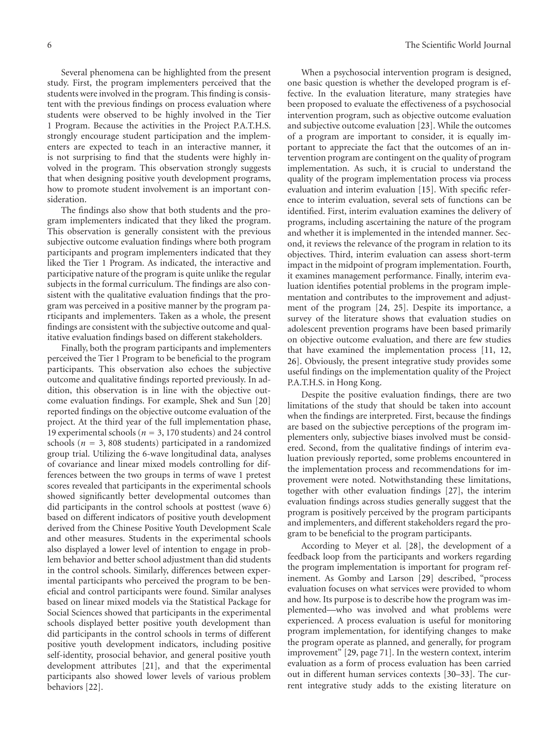Several phenomena can be highlighted from the present study. First, the program implementers perceived that the students were involved in the program. This finding is consistent with the previous findings on process evaluation where students were observed to be highly involved in the Tier 1 Program. Because the activities in the Project P.A.T.H.S. strongly encourage student participation and the implementers are expected to teach in an interactive manner, it is not surprising to find that the students were highly involved in the program. This observation strongly suggests that when designing positive youth development programs, how to promote student involvement is an important consideration.

The findings also show that both students and the program implementers indicated that they liked the program. This observation is generally consistent with the previous subjective outcome evaluation findings where both program participants and program implementers indicated that they liked the Tier 1 Program. As indicated, the interactive and participative nature of the program is quite unlike the regular subjects in the formal curriculum. The findings are also consistent with the qualitative evaluation findings that the program was perceived in a positive manner by the program participants and implementers. Taken as a whole, the present findings are consistent with the subjective outcome and qualitative evaluation findings based on different stakeholders.

Finally, both the program participants and implementers perceived the Tier 1 Program to be beneficial to the program participants. This observation also echoes the subjective outcome and qualitative findings reported previously. In addition, this observation is in line with the objective outcome evaluation findings. For example, Shek and Sun [20] reported findings on the objective outcome evaluation of the project. At the third year of the full implementation phase, 19 experimental schools (*<sup>n</sup>* <sup>=</sup> 3, 170 students) and 24 control schools ( $n = 3$ , 808 students) participated in a randomized group trial. Utilizing the 6-wave longitudinal data, analyses of covariance and linear mixed models controlling for differences between the two groups in terms of wave 1 pretest scores revealed that participants in the experimental schools showed significantly better developmental outcomes than did participants in the control schools at posttest (wave 6) based on different indicators of positive youth development derived from the Chinese Positive Youth Development Scale and other measures. Students in the experimental schools also displayed a lower level of intention to engage in problem behavior and better school adjustment than did students in the control schools. Similarly, differences between experimental participants who perceived the program to be beneficial and control participants were found. Similar analyses based on linear mixed models via the Statistical Package for Social Sciences showed that participants in the experimental schools displayed better positive youth development than did participants in the control schools in terms of different positive youth development indicators, including positive self-identity, prosocial behavior, and general positive youth development attributes [21], and that the experimental participants also showed lower levels of various problem behaviors [22].

When a psychosocial intervention program is designed, one basic question is whether the developed program is effective. In the evaluation literature, many strategies have been proposed to evaluate the effectiveness of a psychosocial intervention program, such as objective outcome evaluation and subjective outcome evaluation [23]. While the outcomes of a program are important to consider, it is equally important to appreciate the fact that the outcomes of an intervention program are contingent on the quality of program implementation. As such, it is crucial to understand the quality of the program implementation process via process evaluation and interim evaluation [15]. With specific reference to interim evaluation, several sets of functions can be identified. First, interim evaluation examines the delivery of programs, including ascertaining the nature of the program and whether it is implemented in the intended manner. Second, it reviews the relevance of the program in relation to its objectives. Third, interim evaluation can assess short-term impact in the midpoint of program implementation. Fourth, it examines management performance. Finally, interim evaluation identifies potential problems in the program implementation and contributes to the improvement and adjustment of the program [24, 25]. Despite its importance, a survey of the literature shows that evaluation studies on adolescent prevention programs have been based primarily on objective outcome evaluation, and there are few studies that have examined the implementation process [11, 12, 26]. Obviously, the present integrative study provides some useful findings on the implementation quality of the Project P.A.T.H.S. in Hong Kong.

Despite the positive evaluation findings, there are two limitations of the study that should be taken into account when the findings are interpreted. First, because the findings are based on the subjective perceptions of the program implementers only, subjective biases involved must be considered. Second, from the qualitative findings of interim evaluation previously reported, some problems encountered in the implementation process and recommendations for improvement were noted. Notwithstanding these limitations, together with other evaluation findings [27], the interim evaluation findings across studies generally suggest that the program is positively perceived by the program participants and implementers, and different stakeholders regard the program to be beneficial to the program participants.

According to Meyer et al. [28], the development of a feedback loop from the participants and workers regarding the program implementation is important for program refinement. As Gomby and Larson [29] described, "process evaluation focuses on what services were provided to whom and how. Its purpose is to describe how the program was implemented—who was involved and what problems were experienced. A process evaluation is useful for monitoring program implementation, for identifying changes to make the program operate as planned, and generally, for program improvement" [29, page 71]. In the western context, interim evaluation as a form of process evaluation has been carried out in different human services contexts [30–33]. The current integrative study adds to the existing literature on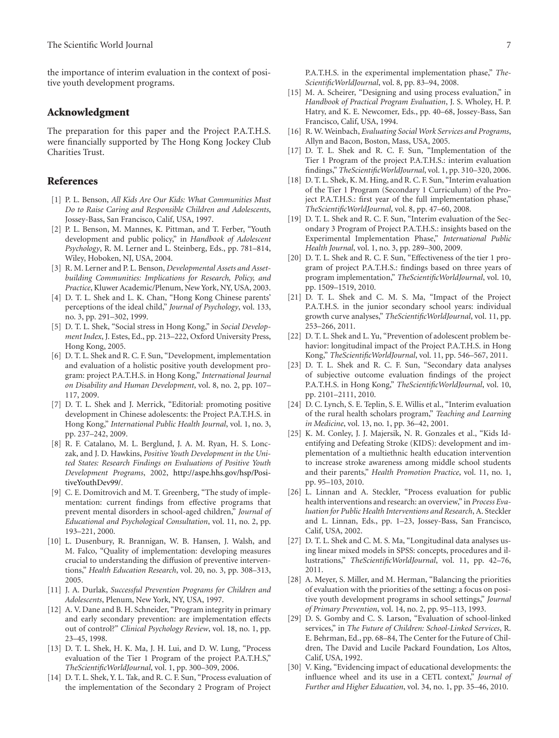the importance of interim evaluation in the context of positive youth development programs.

#### **Acknowledgment**

The preparation for this paper and the Project P.A.T.H.S. were financially supported by The Hong Kong Jockey Club Charities Trust.

#### **References**

- [1] P. L. Benson, *All Kids Are Our Kids: What Communities Must Do to Raise Caring and Responsible Children and Adolescents*, Jossey-Bass, San Francisco, Calif, USA, 1997.
- [2] P. L. Benson, M. Mannes, K. Pittman, and T. Ferber, "Youth development and public policy," in *Handbook of Adolescent Psychology*, R. M. Lerner and L. Steinberg, Eds., pp. 781–814, Wiley, Hoboken, NJ, USA, 2004.
- [3] R. M. Lerner and P. L. Benson, *Developmental Assets and Assetbuilding Communities: Implications for Research, Policy, and Practice*, Kluwer Academic/Plenum, New York, NY, USA, 2003.
- [4] D. T. L. Shek and L. K. Chan, "Hong Kong Chinese parents' perceptions of the ideal child," *Journal of Psychology*, vol. 133, no. 3, pp. 291–302, 1999.
- [5] D. T. L. Shek, "Social stress in Hong Kong," in *Social Development Index*, J. Estes, Ed., pp. 213–222, Oxford University Press, Hong Kong, 2005.
- [6] D. T. L. Shek and R. C. F. Sun, "Development, implementation and evaluation of a holistic positive youth development program: project P.A.T.H.S. in Hong Kong," *International Journal on Disability and Human Development*, vol. 8, no. 2, pp. 107– 117, 2009.
- [7] D. T. L. Shek and J. Merrick, "Editorial: promoting positive development in Chinese adolescents: the Project P.A.T.H.S. in Hong Kong," *International Public Health Journal*, vol. 1, no. 3, pp. 237–242, 2009.
- [8] R. F. Catalano, M. L. Berglund, J. A. M. Ryan, H. S. Lonczak, and J. D. Hawkins, *Positive Youth Development in the United States: Research Findings on Evaluations of Positive Youth Development Programs*, 2002, http://aspe.hhs.gov/hsp/PositiveYouthDev99/.
- [9] C. E. Domitrovich and M. T. Greenberg, "The study of implementation: current findings from effective programs that prevent mental disorders in school-aged children," *Journal of Educational and Psychological Consultation*, vol. 11, no. 2, pp. 193–221, 2000.
- [10] L. Dusenbury, R. Brannigan, W. B. Hansen, J. Walsh, and M. Falco, "Quality of implementation: developing measures crucial to understanding the diffusion of preventive interventions," *Health Education Research*, vol. 20, no. 3, pp. 308–313, 2005.
- [11] J. A. Durlak, *Successful Prevention Programs for Children and Adolescents*, Plenum, New York, NY, USA, 1997.
- [12] A. V. Dane and B. H. Schneider, "Program integrity in primary and early secondary prevention: are implementation effects out of control?" *Clinical Psychology Review*, vol. 18, no. 1, pp. 23–45, 1998.
- [13] D. T. L. Shek, H. K. Ma, J. H. Lui, and D. W. Lung, "Process evaluation of the Tier 1 Program of the project P.A.T.H.S," *TheScientificWorldJournal*, vol. 1, pp. 300–309, 2006.
- [14] D. T. L. Shek, Y. L. Tak, and R. C. F. Sun, "Process evaluation of the implementation of the Secondary 2 Program of Project

P.A.T.H.S. in the experimental implementation phase," *The-ScientificWorldJournal*, vol. 8, pp. 83–94, 2008.

- [15] M. A. Scheirer, "Designing and using process evaluation," in *Handbook of Practical Program Evaluation*, J. S. Wholey, H. P. Hatry, and K. E. Newcomer, Eds., pp. 40–68, Jossey-Bass, San Francisco, Calif, USA, 1994.
- [16] R. W. Weinbach, *Evaluating Social Work Services and Programs*, Allyn and Bacon, Boston, Mass, USA, 2005.
- [17] D. T. L. Shek and R. C. F. Sun, "Implementation of the Tier 1 Program of the project P.A.T.H.S.: interim evaluation findings," *TheScientificWorldJournal*, vol. 1, pp. 310–320, 2006.
- [18] D. T. L. Shek, K. M. Hing, and R. C. F. Sun, "Interim evaluation of the Tier 1 Program (Secondary 1 Curriculum) of the Project P.A.T.H.S.: first year of the full implementation phase," *TheScientificWorldJournal*, vol. 8, pp. 47–60, 2008.
- [19] D. T. L. Shek and R. C. F. Sun, "Interim evaluation of the Secondary 3 Program of Project P.A.T.H.S.: insights based on the Experimental Implementation Phase," *International Public Health Journal*, vol. 1, no. 3, pp. 289–300, 2009.
- [20] D. T. L. Shek and R. C. F. Sun, "Effectiveness of the tier 1 program of project P.A.T.H.S.: findings based on three years of program implementation," *TheScientificWorldJournal*, vol. 10, pp. 1509–1519, 2010.
- [21] D. T. L. Shek and C. M. S. Ma, "Impact of the Project P.A.T.H.S. in the junior secondary school years: individual growth curve analyses," *TheScientificWorldJournal*, vol. 11, pp. 253–266, 2011.
- [22] D. T. L. Shek and L. Yu, "Prevention of adolescent problem behavior: longitudinal impact of the Project P.A.T.H.S. in Hong Kong," *TheScientificWorldJournal*, vol. 11, pp. 546–567, 2011.
- [23] D. T. L. Shek and R. C. F. Sun, "Secondary data analyses of subjective outcome evaluation findings of the project P.A.T.H.S. in Hong Kong," *TheScientificWorldJournal*, vol. 10, pp. 2101–2111, 2010.
- [24] D. C. Lynch, S. E. Teplin, S. E. Willis et al., "Interim evaluation of the rural health scholars program," *Teaching and Learning in Medicine*, vol. 13, no. 1, pp. 36–42, 2001.
- [25] K. M. Conley, J. J. Majersik, N. R. Gonzales et al., "Kids Identifying and Defeating Stroke (KIDS): development and implementation of a multiethnic health education intervention to increase stroke awareness among middle school students and their parents," *Health Promotion Practice*, vol. 11, no. 1, pp. 95–103, 2010.
- [26] L. Linnan and A. Steckler, "Process evaluation for public health interventions and research: an overview," in *Process Evaluation for Public Health Interventions and Research*, A. Steckler and L. Linnan, Eds., pp. 1–23, Jossey-Bass, San Francisco, Calif, USA, 2002.
- [27] D. T. L. Shek and C. M. S. Ma, "Longitudinal data analyses using linear mixed models in SPSS: concepts, procedures and illustrations," *TheScientificWorldJournal*, vol. 11, pp. 42–76, 2011.
- [28] A. Meyer, S. Miller, and M. Herman, "Balancing the priorities of evaluation with the priorities of the setting: a focus on positive youth development programs in school settings," *Journal of Primary Prevention*, vol. 14, no. 2, pp. 95–113, 1993.
- [29] D. S. Gomby and C. S. Larson, "Evaluation of school-linked services," in *The Future of Children: School-Linked Services*, R. E. Behrman, Ed., pp. 68–84, The Center for the Future of Children, The David and Lucile Packard Foundation, Los Altos, Calif, USA, 1992.
- [30] V. King, "Evidencing impact of educational developments: the influence wheel and its use in a CETL context," *Journal of Further and Higher Education*, vol. 34, no. 1, pp. 35–46, 2010.